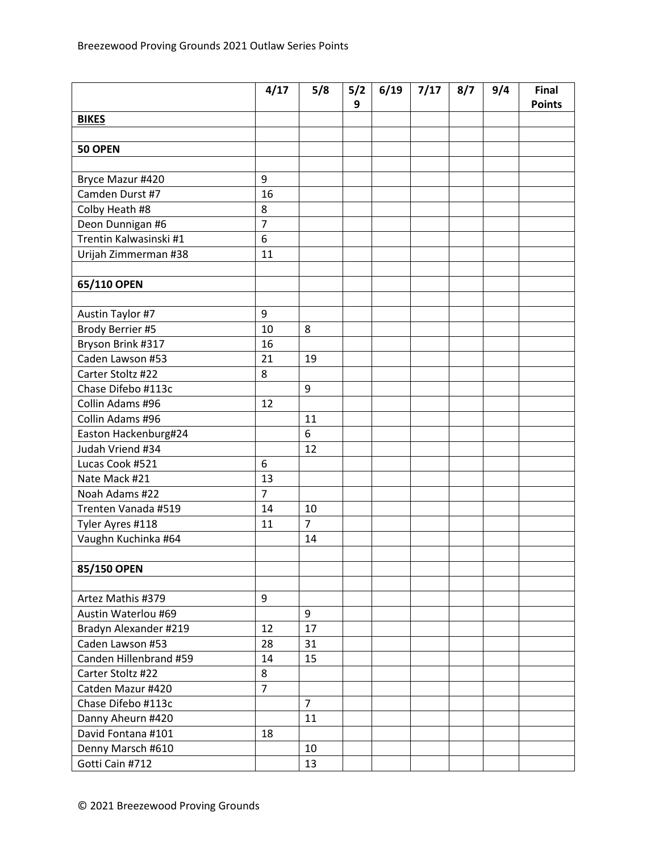|                        | 4/17             | 5/8            | 5/2<br>9 | 6/19 | 7/17 | 8/7 | 9/4 | Final<br><b>Points</b> |
|------------------------|------------------|----------------|----------|------|------|-----|-----|------------------------|
| <b>BIKES</b>           |                  |                |          |      |      |     |     |                        |
|                        |                  |                |          |      |      |     |     |                        |
| 50 OPEN                |                  |                |          |      |      |     |     |                        |
|                        |                  |                |          |      |      |     |     |                        |
| Bryce Mazur #420       | 9                |                |          |      |      |     |     |                        |
| Camden Durst #7        | 16               |                |          |      |      |     |     |                        |
| Colby Heath #8         | 8                |                |          |      |      |     |     |                        |
| Deon Dunnigan #6       | $\overline{7}$   |                |          |      |      |     |     |                        |
| Trentin Kalwasinski #1 | 6                |                |          |      |      |     |     |                        |
| Urijah Zimmerman #38   | 11               |                |          |      |      |     |     |                        |
|                        |                  |                |          |      |      |     |     |                        |
| 65/110 OPEN            |                  |                |          |      |      |     |     |                        |
|                        |                  |                |          |      |      |     |     |                        |
| Austin Taylor #7       | 9                |                |          |      |      |     |     |                        |
| Brody Berrier #5       | 10               | 8              |          |      |      |     |     |                        |
| Bryson Brink #317      | 16               |                |          |      |      |     |     |                        |
| Caden Lawson #53       | 21               | 19             |          |      |      |     |     |                        |
| Carter Stoltz #22      | 8                |                |          |      |      |     |     |                        |
| Chase Difebo #113c     |                  | 9              |          |      |      |     |     |                        |
| Collin Adams #96       | 12               |                |          |      |      |     |     |                        |
| Collin Adams #96       |                  | 11             |          |      |      |     |     |                        |
| Easton Hackenburg#24   |                  | 6              |          |      |      |     |     |                        |
| Judah Vriend #34       |                  | 12             |          |      |      |     |     |                        |
| Lucas Cook #521        | 6                |                |          |      |      |     |     |                        |
| Nate Mack #21          | 13               |                |          |      |      |     |     |                        |
| Noah Adams #22         | $\overline{7}$   |                |          |      |      |     |     |                        |
| Trenten Vanada #519    | 14               | 10             |          |      |      |     |     |                        |
| Tyler Ayres #118       | 11               | $\overline{7}$ |          |      |      |     |     |                        |
| Vaughn Kuchinka #64    |                  | 14             |          |      |      |     |     |                        |
|                        |                  |                |          |      |      |     |     |                        |
| 85/150 OPEN            |                  |                |          |      |      |     |     |                        |
|                        |                  |                |          |      |      |     |     |                        |
| Artez Mathis #379      | $\boldsymbol{9}$ |                |          |      |      |     |     |                        |
| Austin Waterlou #69    |                  | 9              |          |      |      |     |     |                        |
| Bradyn Alexander #219  | 12               | 17             |          |      |      |     |     |                        |
| Caden Lawson #53       | 28               | 31             |          |      |      |     |     |                        |
| Canden Hillenbrand #59 | 14               | 15             |          |      |      |     |     |                        |
| Carter Stoltz #22      | 8                |                |          |      |      |     |     |                        |
| Catden Mazur #420      | $\overline{7}$   |                |          |      |      |     |     |                        |
| Chase Difebo #113c     |                  | $\overline{7}$ |          |      |      |     |     |                        |
| Danny Aheurn #420      |                  | 11             |          |      |      |     |     |                        |
| David Fontana #101     | 18               |                |          |      |      |     |     |                        |
| Denny Marsch #610      |                  | 10             |          |      |      |     |     |                        |
| Gotti Cain #712        |                  | 13             |          |      |      |     |     |                        |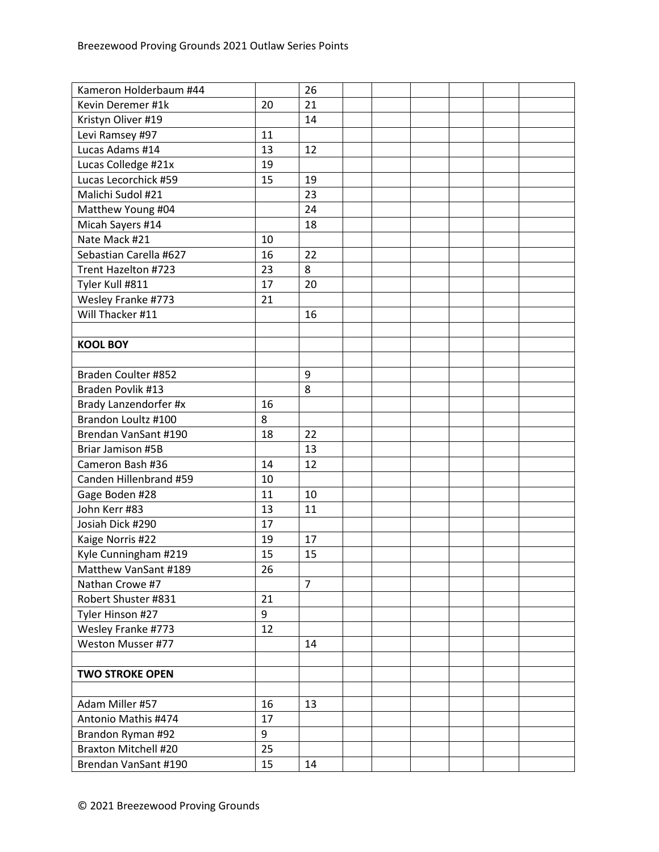| Kameron Holderbaum #44      |    | 26             |  |  |  |
|-----------------------------|----|----------------|--|--|--|
| Kevin Deremer #1k           | 20 | 21             |  |  |  |
| Kristyn Oliver #19          |    | 14             |  |  |  |
| Levi Ramsey #97             | 11 |                |  |  |  |
| Lucas Adams #14             | 13 | 12             |  |  |  |
| Lucas Colledge #21x         | 19 |                |  |  |  |
| Lucas Lecorchick #59        | 15 | 19             |  |  |  |
| Malichi Sudol #21           |    | 23             |  |  |  |
| Matthew Young #04           |    | 24             |  |  |  |
| Micah Sayers #14            |    | 18             |  |  |  |
| Nate Mack #21               | 10 |                |  |  |  |
| Sebastian Carella #627      | 16 | 22             |  |  |  |
| Trent Hazelton #723         | 23 | 8              |  |  |  |
| Tyler Kull #811             | 17 | 20             |  |  |  |
| Wesley Franke #773          | 21 |                |  |  |  |
| Will Thacker #11            |    | 16             |  |  |  |
|                             |    |                |  |  |  |
| <b>KOOL BOY</b>             |    |                |  |  |  |
|                             |    |                |  |  |  |
| Braden Coulter #852         |    | 9              |  |  |  |
| Braden Povlik #13           |    | 8              |  |  |  |
| Brady Lanzendorfer #x       | 16 |                |  |  |  |
| Brandon Loultz #100         | 8  |                |  |  |  |
| Brendan VanSant #190        | 18 | 22             |  |  |  |
| Briar Jamison #5B           |    | 13             |  |  |  |
| Cameron Bash #36            | 14 | 12             |  |  |  |
| Canden Hillenbrand #59      | 10 |                |  |  |  |
| Gage Boden #28              | 11 | 10             |  |  |  |
| John Kerr #83               | 13 | 11             |  |  |  |
| Josiah Dick #290            | 17 |                |  |  |  |
| Kaige Norris #22            | 19 | 17             |  |  |  |
| Kyle Cunningham #219        | 15 | 15             |  |  |  |
| Matthew VanSant #189        | 26 |                |  |  |  |
| Nathan Crowe #7             |    | $\overline{7}$ |  |  |  |
| Robert Shuster #831         | 21 |                |  |  |  |
| Tyler Hinson #27            | 9  |                |  |  |  |
| Wesley Franke #773          | 12 |                |  |  |  |
| Weston Musser #77           |    | 14             |  |  |  |
|                             |    |                |  |  |  |
| <b>TWO STROKE OPEN</b>      |    |                |  |  |  |
|                             |    |                |  |  |  |
| Adam Miller #57             | 16 | 13             |  |  |  |
| Antonio Mathis #474         | 17 |                |  |  |  |
| Brandon Ryman #92           | 9  |                |  |  |  |
| <b>Braxton Mitchell #20</b> | 25 |                |  |  |  |
| Brendan VanSant #190        | 15 | 14             |  |  |  |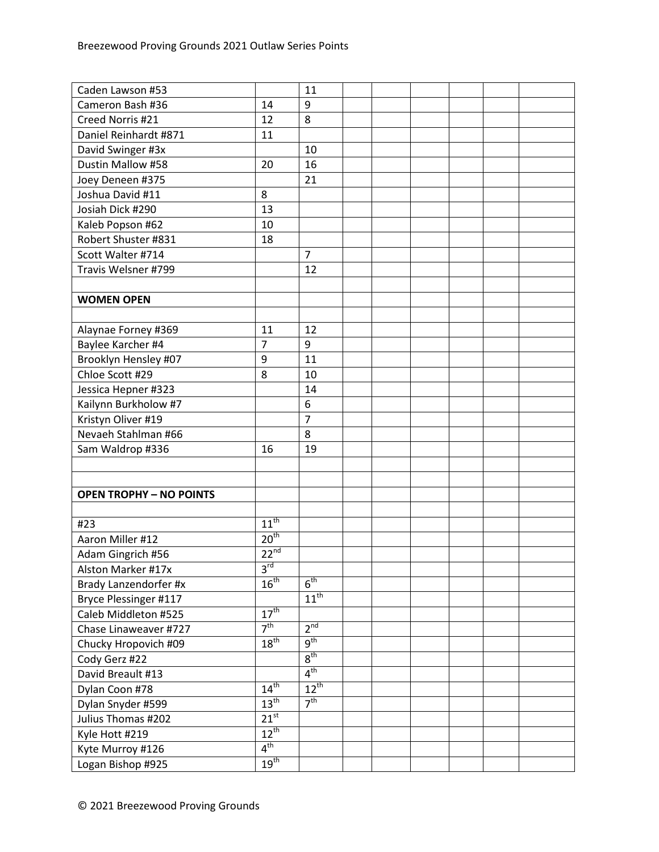| Caden Lawson #53               |                     | 11               |  |  |  |
|--------------------------------|---------------------|------------------|--|--|--|
| Cameron Bash #36               | 14                  | 9                |  |  |  |
| Creed Norris #21               | 12                  | 8                |  |  |  |
| Daniel Reinhardt #871          | 11                  |                  |  |  |  |
| David Swinger #3x              |                     | 10               |  |  |  |
| Dustin Mallow #58              | 20                  | 16               |  |  |  |
| Joey Deneen #375               |                     | 21               |  |  |  |
| Joshua David #11               | 8                   |                  |  |  |  |
| Josiah Dick #290               | 13                  |                  |  |  |  |
| Kaleb Popson #62               | 10                  |                  |  |  |  |
| Robert Shuster #831            | 18                  |                  |  |  |  |
| Scott Walter #714              |                     | $\overline{7}$   |  |  |  |
| Travis Welsner #799            |                     | 12               |  |  |  |
|                                |                     |                  |  |  |  |
| <b>WOMEN OPEN</b>              |                     |                  |  |  |  |
|                                |                     |                  |  |  |  |
| Alaynae Forney #369            | 11                  | 12               |  |  |  |
| Baylee Karcher #4              | $\overline{7}$      | 9                |  |  |  |
| Brooklyn Hensley #07           | 9                   | 11               |  |  |  |
| Chloe Scott #29                | 8                   | 10               |  |  |  |
| Jessica Hepner #323            |                     | 14               |  |  |  |
| Kailynn Burkholow #7           |                     | 6                |  |  |  |
| Kristyn Oliver #19             |                     | $\overline{7}$   |  |  |  |
| Nevaeh Stahlman #66            |                     | 8                |  |  |  |
| Sam Waldrop #336               | 16                  | 19               |  |  |  |
|                                |                     |                  |  |  |  |
|                                |                     |                  |  |  |  |
| <b>OPEN TROPHY - NO POINTS</b> |                     |                  |  |  |  |
|                                |                     |                  |  |  |  |
| #23                            | $11^{th}$           |                  |  |  |  |
| Aaron Miller #12               | $20^{th}$           |                  |  |  |  |
| Adam Gingrich #56              | $22^{nd}$           |                  |  |  |  |
| Alston Marker #17x             | $3^{\overline{rd}}$ |                  |  |  |  |
| Brady Lanzendorfer #x          | $16^{th}$           | $6^{\text{th}}$  |  |  |  |
| Bryce Plessinger #117          |                     | $11^{\text{th}}$ |  |  |  |
| Caleb Middleton #525           | $17^{\text{th}}$    |                  |  |  |  |
| Chase Linaweaver #727          | 7 <sup>th</sup>     | 2 <sup>nd</sup>  |  |  |  |
| Chucky Hropovich #09           | 18 <sup>th</sup>    | 9 <sup>th</sup>  |  |  |  |
| Cody Gerz #22                  |                     | $8^{\text{th}}$  |  |  |  |
| David Breault #13              |                     | $4^{\text{th}}$  |  |  |  |
| Dylan Coon #78                 | $14^{\text{th}}$    | $12^{\text{th}}$ |  |  |  |
| Dylan Snyder #599              | $13^{\text{th}}$    | 7 <sup>th</sup>  |  |  |  |
| Julius Thomas #202             | 21 <sup>st</sup>    |                  |  |  |  |
| Kyle Hott #219                 | $12^{th}$           |                  |  |  |  |
| Kyte Murroy #126               | 4 <sup>th</sup>     |                  |  |  |  |
| Logan Bishop #925              | $19^{\text{th}}$    |                  |  |  |  |
|                                |                     |                  |  |  |  |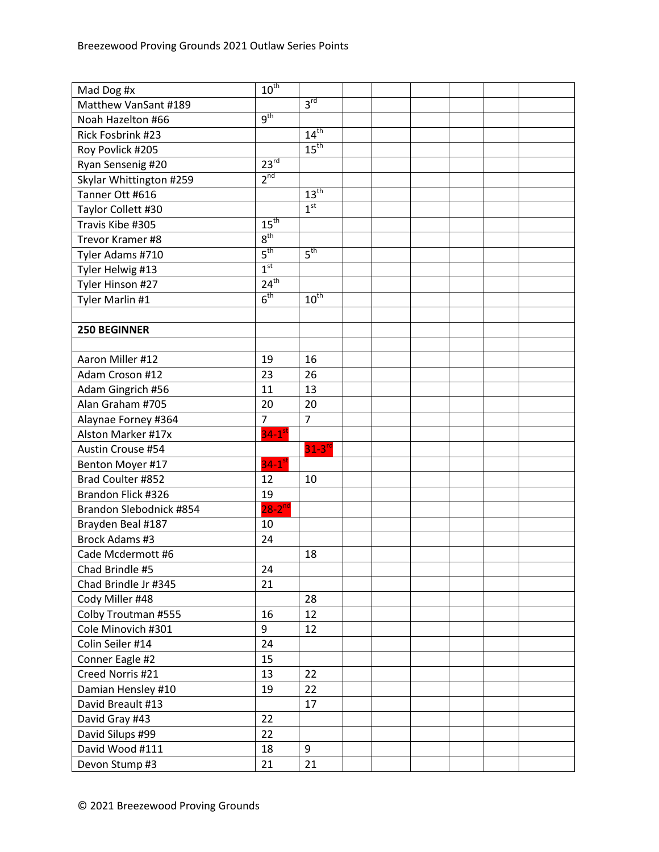| Mad Dog #x              | $10^{th}$            |                      |  |  |  |
|-------------------------|----------------------|----------------------|--|--|--|
| Matthew VanSant #189    |                      | $3^{\text{rd}}$      |  |  |  |
| Noah Hazelton #66       | 9 <sup>th</sup>      |                      |  |  |  |
| Rick Fosbrink #23       |                      | $14^{\text{th}}$     |  |  |  |
| Roy Povlick #205        |                      | $15^{\text{th}}$     |  |  |  |
| Ryan Sensenig #20       | $23^{rd}$            |                      |  |  |  |
| Skylar Whittington #259 | 2 <sup>nd</sup>      |                      |  |  |  |
| Tanner Ott #616         |                      | 13 <sup>th</sup>     |  |  |  |
| Taylor Collett #30      |                      | 1 <sup>st</sup>      |  |  |  |
| Travis Kibe #305        | 15 <sup>th</sup>     |                      |  |  |  |
| Trevor Kramer #8        | 8 <sup>th</sup>      |                      |  |  |  |
| Tyler Adams #710        | 5 <sup>th</sup>      | 5 <sup>th</sup>      |  |  |  |
| Tyler Helwig #13        | 1 <sup>st</sup>      |                      |  |  |  |
| Tyler Hinson #27        | 24 <sup>th</sup>     |                      |  |  |  |
| Tyler Marlin #1         | 6 <sup>th</sup>      | $10^{th}$            |  |  |  |
|                         |                      |                      |  |  |  |
| <b>250 BEGINNER</b>     |                      |                      |  |  |  |
|                         |                      |                      |  |  |  |
| Aaron Miller #12        | 19                   | 16                   |  |  |  |
| Adam Croson #12         | 23                   | 26                   |  |  |  |
| Adam Gingrich #56       | 11                   | 13                   |  |  |  |
| Alan Graham #705        | 20                   | 20                   |  |  |  |
| Alaynae Forney #364     | 7                    | $\overline{7}$       |  |  |  |
| Alston Marker #17x      | $34-1$ <sup>st</sup> |                      |  |  |  |
| Austin Crouse #54       |                      | $31-3$ <sup>rd</sup> |  |  |  |
| Benton Moyer #17        | $34-1$ <sup>st</sup> |                      |  |  |  |
| Brad Coulter #852       | 12                   | 10                   |  |  |  |
| Brandon Flick #326      | 19                   |                      |  |  |  |
| Brandon Slebodnick #854 | $28-2^{nd}$          |                      |  |  |  |
| Brayden Beal #187       | 10                   |                      |  |  |  |
| Brock Adams #3          | 24                   |                      |  |  |  |
| Cade Mcdermott #6       |                      | 18                   |  |  |  |
| Chad Brindle #5         | 24                   |                      |  |  |  |
| Chad Brindle Jr #345    | 21                   |                      |  |  |  |
| Cody Miller #48         |                      | 28                   |  |  |  |
| Colby Troutman #555     | 16                   | 12                   |  |  |  |
| Cole Minovich #301      | 9                    | 12                   |  |  |  |
| Colin Seiler #14        | 24                   |                      |  |  |  |
| Conner Eagle #2         | 15                   |                      |  |  |  |
| Creed Norris #21        | 13                   | 22                   |  |  |  |
| Damian Hensley #10      | 19                   | 22                   |  |  |  |
| David Breault #13       |                      | 17                   |  |  |  |
| David Gray #43          | 22                   |                      |  |  |  |
| David Silups #99        | 22                   |                      |  |  |  |
| David Wood #111         | 18                   | 9                    |  |  |  |
| Devon Stump #3          | 21                   | 21                   |  |  |  |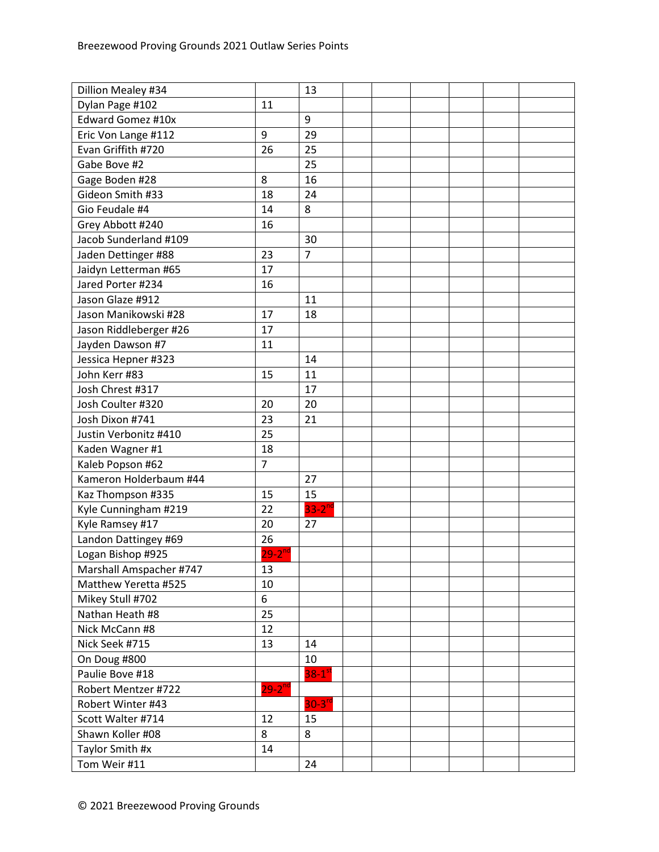| Dillion Mealey #34       |                   | 13                   |  |  |  |
|--------------------------|-------------------|----------------------|--|--|--|
| Dylan Page #102          | 11                |                      |  |  |  |
| <b>Edward Gomez #10x</b> |                   | 9                    |  |  |  |
| Eric Von Lange #112      | 9                 | 29                   |  |  |  |
| Evan Griffith #720       | 26                | 25                   |  |  |  |
| Gabe Bove #2             |                   | 25                   |  |  |  |
| Gage Boden #28           | 8                 | 16                   |  |  |  |
| Gideon Smith #33         | 18                | 24                   |  |  |  |
| Gio Feudale #4           | 14                | 8                    |  |  |  |
| Grey Abbott #240         | 16                |                      |  |  |  |
| Jacob Sunderland #109    |                   | 30                   |  |  |  |
| Jaden Dettinger #88      | 23                | $\overline{7}$       |  |  |  |
| Jaidyn Letterman #65     | 17                |                      |  |  |  |
| Jared Porter #234        | 16                |                      |  |  |  |
| Jason Glaze #912         |                   | 11                   |  |  |  |
| Jason Manikowski #28     | 17                | 18                   |  |  |  |
| Jason Riddleberger #26   | 17                |                      |  |  |  |
| Jayden Dawson #7         | 11                |                      |  |  |  |
| Jessica Hepner #323      |                   | 14                   |  |  |  |
| John Kerr #83            | 15                | 11                   |  |  |  |
| Josh Chrest #317         |                   | 17                   |  |  |  |
| Josh Coulter #320        | 20                | 20                   |  |  |  |
| Josh Dixon #741          | 23                | 21                   |  |  |  |
| Justin Verbonitz #410    | 25                |                      |  |  |  |
| Kaden Wagner #1          | 18                |                      |  |  |  |
| Kaleb Popson #62         | $\overline{7}$    |                      |  |  |  |
| Kameron Holderbaum #44   |                   | 27                   |  |  |  |
| Kaz Thompson #335        | 15                | 15                   |  |  |  |
| Kyle Cunningham #219     | 22                | $33-2$ <sup>nd</sup> |  |  |  |
| Kyle Ramsey #17          | 20                | 27                   |  |  |  |
| Landon Dattingey #69     | 26                |                      |  |  |  |
| Logan Bishop #925        | 29-2 $^{\sf{nd}}$ |                      |  |  |  |
| Marshall Amspacher #747  | 13                |                      |  |  |  |
| Matthew Yeretta #525     | 10                |                      |  |  |  |
| Mikey Stull #702         | $\boldsymbol{6}$  |                      |  |  |  |
| Nathan Heath #8          | 25                |                      |  |  |  |
| Nick McCann #8           | 12                |                      |  |  |  |
| Nick Seek #715           | 13                | 14                   |  |  |  |
| On Doug #800             |                   | 10                   |  |  |  |
| Paulie Bove #18          |                   | $38-1$ <sup>st</sup> |  |  |  |
| Robert Mentzer #722      | $29 - 2^{nd}$     |                      |  |  |  |
| Robert Winter #43        |                   | $30 - 3^{rd}$        |  |  |  |
| Scott Walter #714        | 12                | 15                   |  |  |  |
| Shawn Koller #08         | 8                 | 8                    |  |  |  |
| Taylor Smith #x          | 14                |                      |  |  |  |
| Tom Weir #11             |                   | 24                   |  |  |  |
|                          |                   |                      |  |  |  |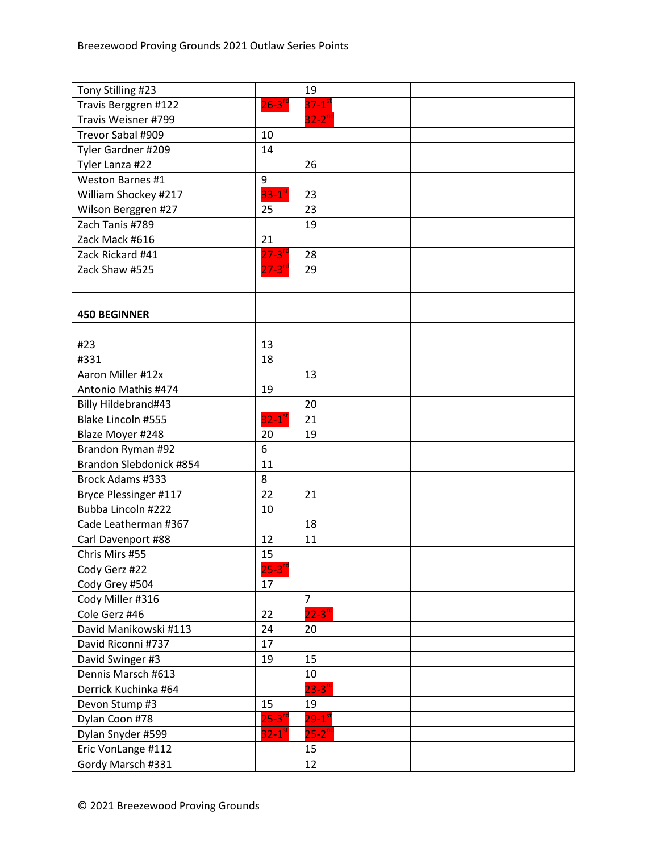| Tony Stilling #23       |                      | 19                     |  |  |  |
|-------------------------|----------------------|------------------------|--|--|--|
| Travis Berggren #122    | $26-3^{rd}$          | $37-1$ <sup>st</sup>   |  |  |  |
| Travis Weisner #799     |                      | $32-2^{nd}$            |  |  |  |
| Trevor Sabal #909       | 10                   |                        |  |  |  |
| Tyler Gardner #209      | 14                   |                        |  |  |  |
| Tyler Lanza #22         |                      | 26                     |  |  |  |
| Weston Barnes #1        | 9                    |                        |  |  |  |
| William Shockey #217    | $33-1$ <sup>st</sup> | 23                     |  |  |  |
| Wilson Berggren #27     | 25                   | 23                     |  |  |  |
| Zach Tanis #789         |                      | 19                     |  |  |  |
| Zack Mack #616          | 21                   |                        |  |  |  |
| Zack Rickard #41        | $27-3$ <sup>rd</sup> | 28                     |  |  |  |
| Zack Shaw #525          | $27 - 3^{rd}$        | 29                     |  |  |  |
|                         |                      |                        |  |  |  |
|                         |                      |                        |  |  |  |
| <b>450 BEGINNER</b>     |                      |                        |  |  |  |
|                         |                      |                        |  |  |  |
| #23                     | 13                   |                        |  |  |  |
| #331                    | 18                   |                        |  |  |  |
| Aaron Miller #12x       |                      | 13                     |  |  |  |
| Antonio Mathis #474     | 19                   |                        |  |  |  |
| Billy Hildebrand#43     |                      | 20                     |  |  |  |
| Blake Lincoln #555      | $32-1$ <sup>st</sup> | 21                     |  |  |  |
| Blaze Moyer #248        | 20                   | 19                     |  |  |  |
| Brandon Ryman #92       | 6                    |                        |  |  |  |
| Brandon Slebdonick #854 | 11                   |                        |  |  |  |
| <b>Brock Adams #333</b> | 8                    |                        |  |  |  |
| Bryce Plessinger #117   | 22                   | 21                     |  |  |  |
| Bubba Lincoln #222      | 10                   |                        |  |  |  |
| Cade Leatherman #367    |                      | 18                     |  |  |  |
| Carl Davenport #88      | 12                   | 11                     |  |  |  |
| Chris Mirs #55          | 15                   |                        |  |  |  |
| Cody Gerz #22           | $25 - 3^{rc}$        |                        |  |  |  |
| Cody Grey #504          | 17                   |                        |  |  |  |
| Cody Miller #316        |                      | $\overline{7}$         |  |  |  |
| Cole Gerz #46           | 22                   | $22-3$ <sup>rd</sup>   |  |  |  |
| David Manikowski #113   | 24                   | 20                     |  |  |  |
| David Riconni #737      | 17                   |                        |  |  |  |
| David Swinger #3        | 19                   | 15                     |  |  |  |
| Dennis Marsch #613      |                      | 10                     |  |  |  |
| Derrick Kuchinka #64    |                      | $23-3$ <sup>rd</sup>   |  |  |  |
| Devon Stump #3          | 15                   | 19                     |  |  |  |
| Dylan Coon #78          | $25-3$ <sup>rd</sup> | $29 - 1$ <sup>st</sup> |  |  |  |
| Dylan Snyder #599       | $32-1$ <sup>st</sup> | $25-2^{\overline{nd}}$ |  |  |  |
| Eric VonLange #112      |                      | 15                     |  |  |  |
| Gordy Marsch #331       |                      | 12                     |  |  |  |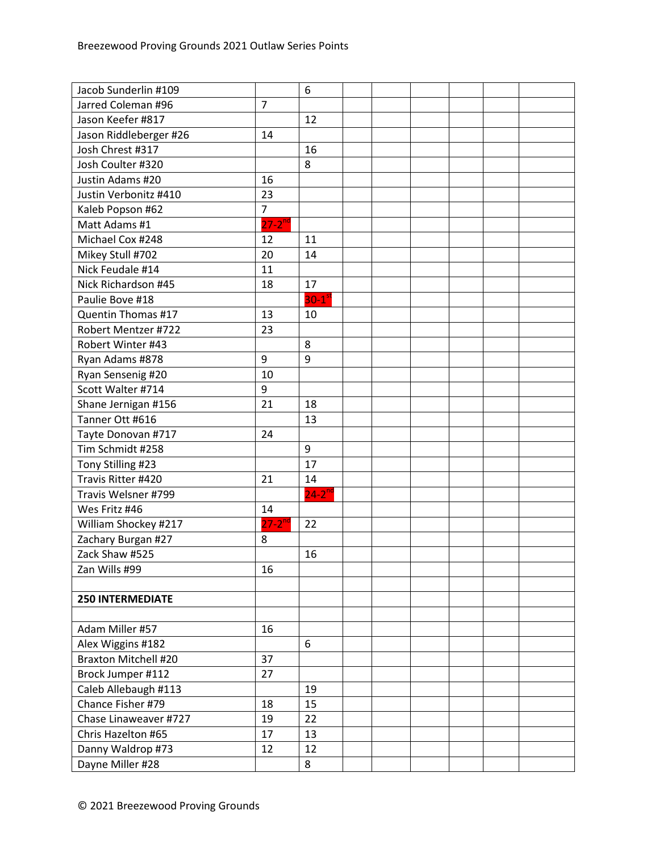| Jacob Sunderlin #109        |                | 6                    |  |  |  |
|-----------------------------|----------------|----------------------|--|--|--|
| Jarred Coleman #96          | $\overline{7}$ |                      |  |  |  |
| Jason Keefer #817           |                | 12                   |  |  |  |
| Jason Riddleberger #26      | 14             |                      |  |  |  |
| Josh Chrest #317            |                | 16                   |  |  |  |
| Josh Coulter #320           |                | 8                    |  |  |  |
| Justin Adams #20            | 16             |                      |  |  |  |
| Justin Verbonitz #410       | 23             |                      |  |  |  |
| Kaleb Popson #62            | $\overline{7}$ |                      |  |  |  |
| Matt Adams #1               | $27 - 2^{nd}$  |                      |  |  |  |
| Michael Cox #248            | 12             | 11                   |  |  |  |
| Mikey Stull #702            | 20             | 14                   |  |  |  |
| Nick Feudale #14            | 11             |                      |  |  |  |
| Nick Richardson #45         | 18             | 17                   |  |  |  |
| Paulie Bove #18             |                | $30-1$ <sup>st</sup> |  |  |  |
| Quentin Thomas #17          | 13             | 10                   |  |  |  |
| Robert Mentzer #722         | 23             |                      |  |  |  |
| Robert Winter #43           |                | 8                    |  |  |  |
| Ryan Adams #878             | 9              | 9                    |  |  |  |
| Ryan Sensenig #20           | 10             |                      |  |  |  |
| Scott Walter #714           | 9              |                      |  |  |  |
| Shane Jernigan #156         | 21             | 18                   |  |  |  |
| Tanner Ott #616             |                | 13                   |  |  |  |
| Tayte Donovan #717          | 24             |                      |  |  |  |
| Tim Schmidt #258            |                | 9                    |  |  |  |
| Tony Stilling #23           |                | 17                   |  |  |  |
| Travis Ritter #420          | 21             | 14                   |  |  |  |
| Travis Welsner #799         |                | $24-2$ <sup>nd</sup> |  |  |  |
| Wes Fritz #46               | 14             |                      |  |  |  |
| William Shockey #217        | $27 - 2^{nd}$  | 22                   |  |  |  |
| Zachary Burgan #27          | 8              |                      |  |  |  |
| Zack Shaw #525              |                | 16                   |  |  |  |
| Zan Wills #99               | 16             |                      |  |  |  |
|                             |                |                      |  |  |  |
| <b>250 INTERMEDIATE</b>     |                |                      |  |  |  |
|                             |                |                      |  |  |  |
| Adam Miller #57             | 16             |                      |  |  |  |
| Alex Wiggins #182           |                | 6                    |  |  |  |
| <b>Braxton Mitchell #20</b> | 37             |                      |  |  |  |
| Brock Jumper #112           | 27             |                      |  |  |  |
| Caleb Allebaugh #113        |                | 19                   |  |  |  |
| Chance Fisher #79           | 18             | 15                   |  |  |  |
| Chase Linaweaver #727       | 19             | 22                   |  |  |  |
| Chris Hazelton #65          | 17             | 13                   |  |  |  |
| Danny Waldrop #73           | 12             | 12                   |  |  |  |
| Dayne Miller #28            |                | 8                    |  |  |  |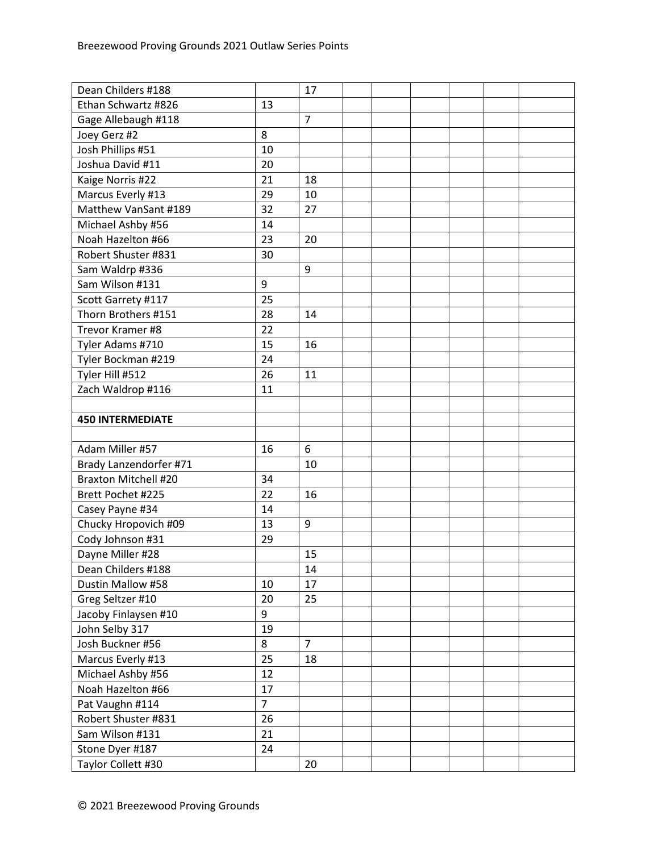| Dean Childers #188          |                | 17             |  |  |  |
|-----------------------------|----------------|----------------|--|--|--|
| Ethan Schwartz #826         | 13             |                |  |  |  |
| Gage Allebaugh #118         |                | $\overline{7}$ |  |  |  |
| Joey Gerz #2                | 8              |                |  |  |  |
| Josh Phillips #51           | 10             |                |  |  |  |
| Joshua David #11            | 20             |                |  |  |  |
| Kaige Norris #22            | 21             | 18             |  |  |  |
| Marcus Everly #13           | 29             | 10             |  |  |  |
| Matthew VanSant #189        | 32             | 27             |  |  |  |
| Michael Ashby #56           | 14             |                |  |  |  |
| Noah Hazelton #66           | 23             | 20             |  |  |  |
| Robert Shuster #831         | 30             |                |  |  |  |
| Sam Waldrp #336             |                | 9              |  |  |  |
| Sam Wilson #131             | 9              |                |  |  |  |
| Scott Garrety #117          | 25             |                |  |  |  |
| Thorn Brothers #151         | 28             | 14             |  |  |  |
| Trevor Kramer #8            | 22             |                |  |  |  |
| Tyler Adams #710            | 15             | 16             |  |  |  |
| Tyler Bockman #219          | 24             |                |  |  |  |
| Tyler Hill #512             | 26             | 11             |  |  |  |
| Zach Waldrop #116           | 11             |                |  |  |  |
|                             |                |                |  |  |  |
| <b>450 INTERMEDIATE</b>     |                |                |  |  |  |
|                             |                |                |  |  |  |
| Adam Miller #57             | 16             | 6              |  |  |  |
| Brady Lanzendorfer #71      |                | 10             |  |  |  |
| <b>Braxton Mitchell #20</b> | 34             |                |  |  |  |
| Brett Pochet #225           | 22             | 16             |  |  |  |
| Casey Payne #34             | 14             |                |  |  |  |
| Chucky Hropovich #09        | 13             | 9              |  |  |  |
| Cody Johnson #31            | 29             |                |  |  |  |
| Dayne Miller #28            |                | 15             |  |  |  |
| Dean Childers #188          |                | 14             |  |  |  |
| Dustin Mallow #58           | 10             | 17             |  |  |  |
| Greg Seltzer #10            | 20             | 25             |  |  |  |
| Jacoby Finlaysen #10        | 9              |                |  |  |  |
| John Selby 317              | 19             |                |  |  |  |
| Josh Buckner #56            | 8              | $\overline{7}$ |  |  |  |
| Marcus Everly #13           | 25             | 18             |  |  |  |
| Michael Ashby #56           | 12             |                |  |  |  |
| Noah Hazelton #66           | 17             |                |  |  |  |
| Pat Vaughn #114             | $\overline{7}$ |                |  |  |  |
| Robert Shuster #831         | 26             |                |  |  |  |
| Sam Wilson #131             | 21             |                |  |  |  |
| Stone Dyer #187             | 24             |                |  |  |  |
| Taylor Collett #30          |                | 20             |  |  |  |
|                             |                |                |  |  |  |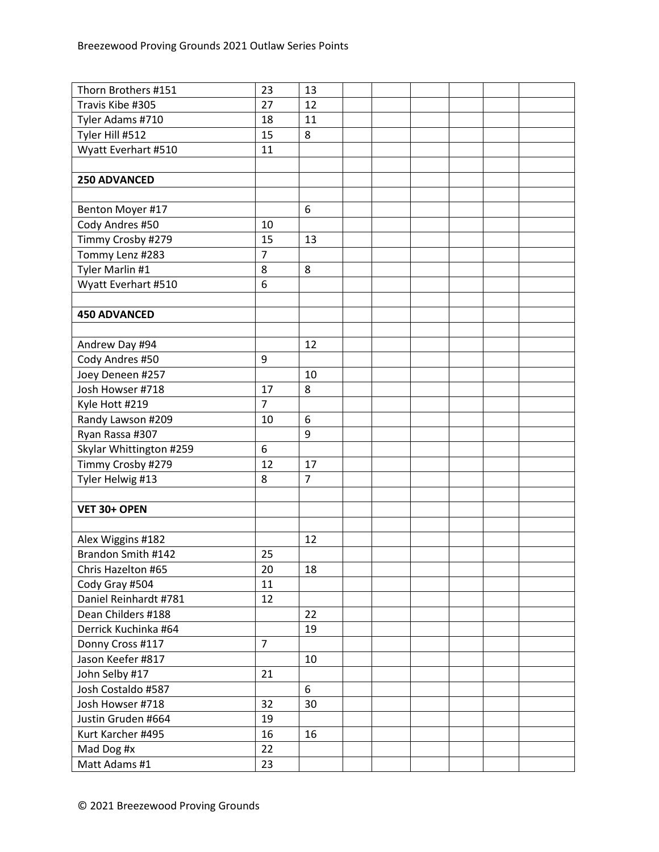| Thorn Brothers #151     | 23             | 13             |  |  |  |
|-------------------------|----------------|----------------|--|--|--|
| Travis Kibe #305        | 27             | 12             |  |  |  |
| Tyler Adams #710        | 18             | 11             |  |  |  |
| Tyler Hill #512         | 15             | 8              |  |  |  |
| Wyatt Everhart #510     | 11             |                |  |  |  |
|                         |                |                |  |  |  |
| <b>250 ADVANCED</b>     |                |                |  |  |  |
|                         |                |                |  |  |  |
| Benton Moyer #17        |                | 6              |  |  |  |
| Cody Andres #50         | 10             |                |  |  |  |
| Timmy Crosby #279       | 15             | 13             |  |  |  |
| Tommy Lenz #283         | $\overline{7}$ |                |  |  |  |
| Tyler Marlin #1         | 8              | 8              |  |  |  |
| Wyatt Everhart #510     | 6              |                |  |  |  |
|                         |                |                |  |  |  |
| <b>450 ADVANCED</b>     |                |                |  |  |  |
|                         |                |                |  |  |  |
| Andrew Day #94          |                | 12             |  |  |  |
| Cody Andres #50         | 9              |                |  |  |  |
| Joey Deneen #257        |                | 10             |  |  |  |
| Josh Howser #718        | 17             | 8              |  |  |  |
| Kyle Hott #219          | $\overline{7}$ |                |  |  |  |
| Randy Lawson #209       | 10             | 6              |  |  |  |
| Ryan Rassa #307         |                | 9              |  |  |  |
| Skylar Whittington #259 | 6              |                |  |  |  |
| Timmy Crosby #279       | 12             | 17             |  |  |  |
| Tyler Helwig #13        | 8              | $\overline{7}$ |  |  |  |
|                         |                |                |  |  |  |
| VET 30+ OPEN            |                |                |  |  |  |
|                         |                |                |  |  |  |
| Alex Wiggins #182       |                | 12             |  |  |  |
| Brandon Smith #142      | 25             |                |  |  |  |
| Chris Hazelton #65      | 20             | 18             |  |  |  |
| Cody Gray #504          | 11             |                |  |  |  |
| Daniel Reinhardt #781   | 12             |                |  |  |  |
| Dean Childers #188      |                | 22             |  |  |  |
| Derrick Kuchinka #64    |                | 19             |  |  |  |
| Donny Cross #117        | $\overline{7}$ |                |  |  |  |
| Jason Keefer #817       |                | 10             |  |  |  |
| John Selby #17          | 21             |                |  |  |  |
| Josh Costaldo #587      |                | 6              |  |  |  |
| Josh Howser #718        | 32             | 30             |  |  |  |
| Justin Gruden #664      | 19             |                |  |  |  |
| Kurt Karcher #495       | 16             | 16             |  |  |  |
| Mad Dog #x              | 22             |                |  |  |  |
| Matt Adams #1           | 23             |                |  |  |  |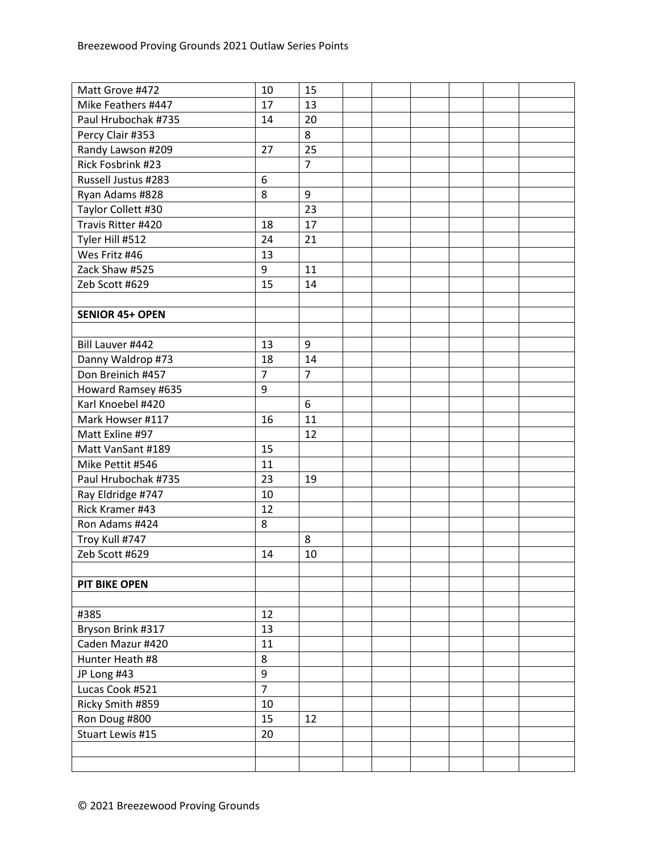| Matt Grove #472        | 10               | 15             |  |  |  |
|------------------------|------------------|----------------|--|--|--|
| Mike Feathers #447     | 17               | 13             |  |  |  |
| Paul Hrubochak #735    | 14               | 20             |  |  |  |
| Percy Clair #353       |                  | 8              |  |  |  |
| Randy Lawson #209      | 27               | 25             |  |  |  |
| Rick Fosbrink #23      |                  | $\overline{7}$ |  |  |  |
| Russell Justus #283    | 6                |                |  |  |  |
| Ryan Adams #828        | 8                | 9              |  |  |  |
| Taylor Collett #30     |                  | 23             |  |  |  |
| Travis Ritter #420     | 18               | 17             |  |  |  |
| Tyler Hill #512        | 24               | 21             |  |  |  |
| Wes Fritz #46          | 13               |                |  |  |  |
| Zack Shaw #525         | 9                | 11             |  |  |  |
| Zeb Scott #629         | 15               | 14             |  |  |  |
|                        |                  |                |  |  |  |
| <b>SENIOR 45+ OPEN</b> |                  |                |  |  |  |
|                        |                  |                |  |  |  |
| Bill Lauver #442       | 13               | 9              |  |  |  |
| Danny Waldrop #73      | 18               | 14             |  |  |  |
| Don Breinich #457      | $\overline{7}$   | $\overline{7}$ |  |  |  |
| Howard Ramsey #635     | 9                |                |  |  |  |
| Karl Knoebel #420      |                  | 6              |  |  |  |
| Mark Howser #117       | 16               | 11             |  |  |  |
| Matt Exline #97        |                  | 12             |  |  |  |
| Matt VanSant #189      | 15               |                |  |  |  |
| Mike Pettit #546       | 11               |                |  |  |  |
| Paul Hrubochak #735    | 23               | 19             |  |  |  |
| Ray Eldridge #747      | 10               |                |  |  |  |
| Rick Kramer #43        | 12               |                |  |  |  |
| Ron Adams #424         | 8                |                |  |  |  |
| Troy Kull #747         |                  | 8              |  |  |  |
| Zeb Scott #629         | 14               | 10             |  |  |  |
|                        |                  |                |  |  |  |
| <b>PIT BIKE OPEN</b>   |                  |                |  |  |  |
|                        |                  |                |  |  |  |
| #385                   | 12               |                |  |  |  |
| Bryson Brink #317      | 13               |                |  |  |  |
| Caden Mazur #420       | 11               |                |  |  |  |
| Hunter Heath #8        | 8                |                |  |  |  |
| JP Long #43            | $\boldsymbol{9}$ |                |  |  |  |
| Lucas Cook #521        | $\overline{7}$   |                |  |  |  |
| Ricky Smith #859       | 10               |                |  |  |  |
| Ron Doug #800          | 15               | 12             |  |  |  |
| Stuart Lewis #15       | 20               |                |  |  |  |
|                        |                  |                |  |  |  |
|                        |                  |                |  |  |  |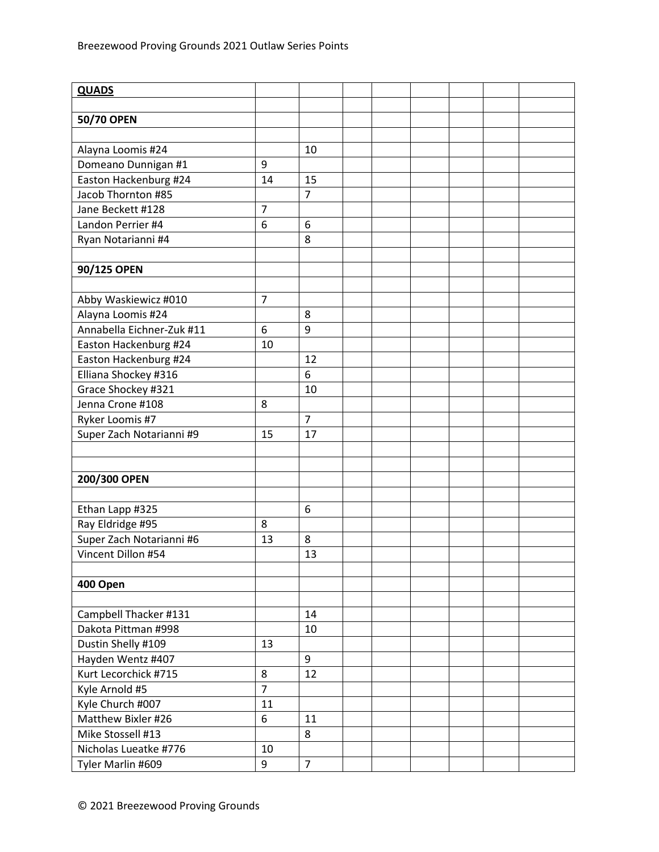| <b>QUADS</b>              |                |                |  |  |  |
|---------------------------|----------------|----------------|--|--|--|
|                           |                |                |  |  |  |
| 50/70 OPEN                |                |                |  |  |  |
|                           |                |                |  |  |  |
| Alayna Loomis #24         |                | 10             |  |  |  |
| Domeano Dunnigan #1       | 9              |                |  |  |  |
| Easton Hackenburg #24     | 14             | 15             |  |  |  |
| Jacob Thornton #85        |                | $\overline{7}$ |  |  |  |
| Jane Beckett #128         | $\overline{7}$ |                |  |  |  |
| Landon Perrier #4         | 6              | 6              |  |  |  |
| Ryan Notarianni #4        |                | 8              |  |  |  |
|                           |                |                |  |  |  |
| 90/125 OPEN               |                |                |  |  |  |
|                           |                |                |  |  |  |
| Abby Waskiewicz #010      | $\overline{7}$ |                |  |  |  |
| Alayna Loomis #24         |                | 8              |  |  |  |
| Annabella Eichner-Zuk #11 | 6              | 9              |  |  |  |
| Easton Hackenburg #24     | 10             |                |  |  |  |
| Easton Hackenburg #24     |                | 12             |  |  |  |
| Elliana Shockey #316      |                | 6              |  |  |  |
| Grace Shockey #321        |                | 10             |  |  |  |
| Jenna Crone #108          | 8              |                |  |  |  |
| Ryker Loomis #7           |                | $\overline{7}$ |  |  |  |
| Super Zach Notarianni #9  | 15             | 17             |  |  |  |
|                           |                |                |  |  |  |
|                           |                |                |  |  |  |
| 200/300 OPEN              |                |                |  |  |  |
|                           |                |                |  |  |  |
| Ethan Lapp #325           |                | 6              |  |  |  |
| Ray Eldridge #95          | 8              |                |  |  |  |
| Super Zach Notarianni #6  | 13             | 8              |  |  |  |
| Vincent Dillon #54        |                | 13             |  |  |  |
|                           |                |                |  |  |  |
| 400 Open                  |                |                |  |  |  |
|                           |                |                |  |  |  |
| Campbell Thacker #131     |                | 14             |  |  |  |
| Dakota Pittman #998       |                | 10             |  |  |  |
| Dustin Shelly #109        | 13             |                |  |  |  |
| Hayden Wentz #407         |                | 9              |  |  |  |
| Kurt Lecorchick #715      | 8              | 12             |  |  |  |
| Kyle Arnold #5            | $\overline{7}$ |                |  |  |  |
| Kyle Church #007          | 11             |                |  |  |  |
| Matthew Bixler #26        | 6              | 11             |  |  |  |
| Mike Stossell #13         |                | 8              |  |  |  |
| Nicholas Lueatke #776     | 10             |                |  |  |  |
| Tyler Marlin #609         | 9              | $\overline{7}$ |  |  |  |
|                           |                |                |  |  |  |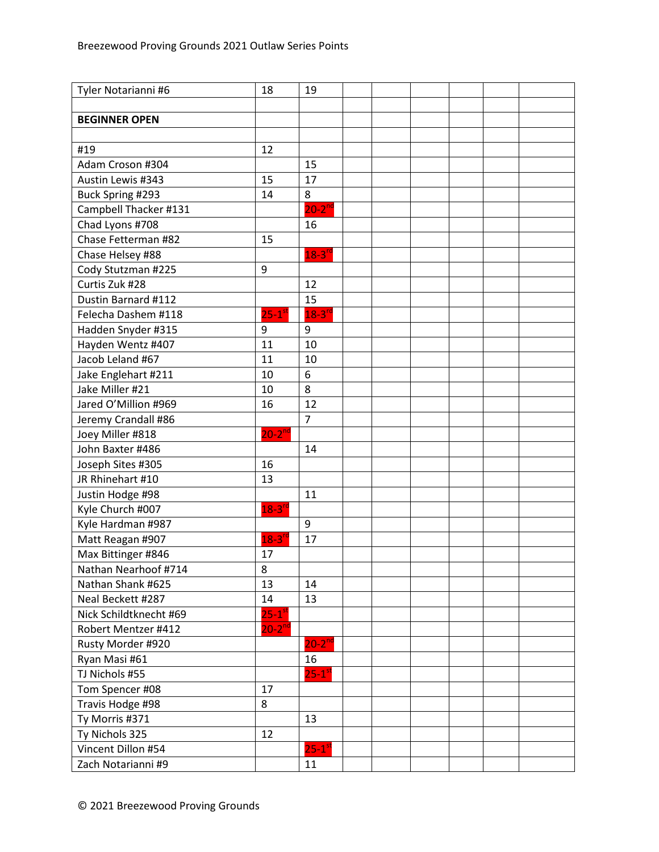| Tyler Notarianni #6    | 18                   | 19                   |  |  |  |
|------------------------|----------------------|----------------------|--|--|--|
|                        |                      |                      |  |  |  |
| <b>BEGINNER OPEN</b>   |                      |                      |  |  |  |
|                        |                      |                      |  |  |  |
| #19                    | 12                   |                      |  |  |  |
| Adam Croson #304       |                      | 15                   |  |  |  |
| Austin Lewis #343      | 15                   | 17                   |  |  |  |
| Buck Spring #293       | 14                   | 8                    |  |  |  |
| Campbell Thacker #131  |                      | $20-2^{nd}$          |  |  |  |
| Chad Lyons #708        |                      | 16                   |  |  |  |
| Chase Fetterman #82    | 15                   |                      |  |  |  |
| Chase Helsey #88       |                      | $18-3$ <sup>rd</sup> |  |  |  |
| Cody Stutzman #225     | 9                    |                      |  |  |  |
| Curtis Zuk #28         |                      | 12                   |  |  |  |
| Dustin Barnard #112    |                      | 15                   |  |  |  |
| Felecha Dashem #118    | $25-1$ <sup>st</sup> | $18-3$ <sup>rd</sup> |  |  |  |
| Hadden Snyder #315     | 9                    | 9                    |  |  |  |
| Hayden Wentz #407      | 11                   | 10                   |  |  |  |
| Jacob Leland #67       | 11                   | 10                   |  |  |  |
| Jake Englehart #211    | 10                   | 6                    |  |  |  |
| Jake Miller #21        | 10                   | 8                    |  |  |  |
| Jared O'Million #969   | 16                   | 12                   |  |  |  |
| Jeremy Crandall #86    |                      | $\overline{7}$       |  |  |  |
| Joey Miller #818       | $20 - 2^{nd}$        |                      |  |  |  |
| John Baxter #486       |                      | 14                   |  |  |  |
| Joseph Sites #305      | 16                   |                      |  |  |  |
| JR Rhinehart #10       | 13                   |                      |  |  |  |
| Justin Hodge #98       |                      | 11                   |  |  |  |
| Kyle Church #007       | $18-3$ <sup>rc</sup> |                      |  |  |  |
| Kyle Hardman #987      |                      | $9\,$                |  |  |  |
| Matt Reagan #907       | $18 - 3^{rd}$        | 17                   |  |  |  |
| Max Bittinger #846     | 17                   |                      |  |  |  |
| Nathan Nearhoof #714   | 8                    |                      |  |  |  |
| Nathan Shank #625      | 13                   | 14                   |  |  |  |
| Neal Beckett #287      | 14                   | 13                   |  |  |  |
| Nick Schildtknecht #69 | $25-1$ <sup>st</sup> |                      |  |  |  |
| Robert Mentzer #412    | $20 - 2^{nd}$        |                      |  |  |  |
| Rusty Morder #920      |                      | $20-2^{nd}$          |  |  |  |
| Ryan Masi #61          |                      | 16                   |  |  |  |
| TJ Nichols #55         |                      | $25-1$ <sup>st</sup> |  |  |  |
| Tom Spencer #08        | 17                   |                      |  |  |  |
| Travis Hodge #98       | 8                    |                      |  |  |  |
| Ty Morris #371         |                      | 13                   |  |  |  |
| Ty Nichols 325         | 12                   |                      |  |  |  |
| Vincent Dillon #54     |                      | $25-1$ <sup>st</sup> |  |  |  |
| Zach Notarianni #9     |                      | 11                   |  |  |  |
|                        |                      |                      |  |  |  |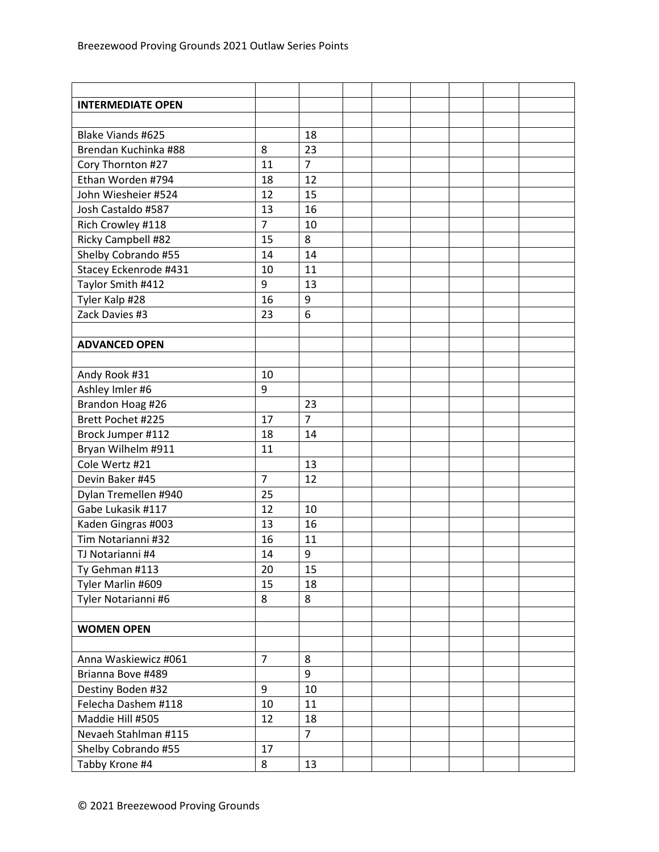| <b>INTERMEDIATE OPEN</b>  |                |                |  |  |  |
|---------------------------|----------------|----------------|--|--|--|
|                           |                |                |  |  |  |
| <b>Blake Viands #625</b>  |                | 18             |  |  |  |
| Brendan Kuchinka #88      | 8              | 23             |  |  |  |
| Cory Thornton #27         | 11             | $\overline{7}$ |  |  |  |
| Ethan Worden #794         | 18             | 12             |  |  |  |
| John Wiesheier #524       | 12             | 15             |  |  |  |
| Josh Castaldo #587        | 13             | 16             |  |  |  |
| Rich Crowley #118         | $\overline{7}$ | 10             |  |  |  |
| <b>Ricky Campbell #82</b> | 15             | 8              |  |  |  |
| Shelby Cobrando #55       | 14             | 14             |  |  |  |
| Stacey Eckenrode #431     | 10             | 11             |  |  |  |
| Taylor Smith #412         | 9              | 13             |  |  |  |
| Tyler Kalp #28            | 16             | 9              |  |  |  |
| Zack Davies #3            | 23             | 6              |  |  |  |
|                           |                |                |  |  |  |
| <b>ADVANCED OPEN</b>      |                |                |  |  |  |
|                           |                |                |  |  |  |
| Andy Rook #31             | 10             |                |  |  |  |
| Ashley Imler #6           | 9              |                |  |  |  |
| Brandon Hoag #26          |                | 23             |  |  |  |
| Brett Pochet #225         | 17             | $\overline{7}$ |  |  |  |
| Brock Jumper #112         | 18             | 14             |  |  |  |
| Bryan Wilhelm #911        | 11             |                |  |  |  |
| Cole Wertz #21            |                | 13             |  |  |  |
| Devin Baker #45           | $\overline{7}$ | 12             |  |  |  |
| Dylan Tremellen #940      | 25             |                |  |  |  |
| Gabe Lukasik #117         | 12             | 10             |  |  |  |
| Kaden Gingras #003        | 13             | 16             |  |  |  |
| Tim Notarianni #32        | 16             | 11             |  |  |  |
| TJ Notarianni #4          | 14             | 9              |  |  |  |
| Ty Gehman #113            | 20             | 15             |  |  |  |
| Tyler Marlin #609         | 15             | 18             |  |  |  |
| Tyler Notarianni #6       | 8              | 8              |  |  |  |
|                           |                |                |  |  |  |
| <b>WOMEN OPEN</b>         |                |                |  |  |  |
|                           |                |                |  |  |  |
| Anna Waskiewicz #061      | $\overline{7}$ | 8              |  |  |  |
| Brianna Bove #489         |                | 9              |  |  |  |
| Destiny Boden #32         | 9              | 10             |  |  |  |
| Felecha Dashem #118       | 10             | 11             |  |  |  |
| Maddie Hill #505          | 12             | 18             |  |  |  |
| Nevaeh Stahlman #115      |                | $\overline{7}$ |  |  |  |
| Shelby Cobrando #55       | 17             |                |  |  |  |
| Tabby Krone #4            | 8              | 13             |  |  |  |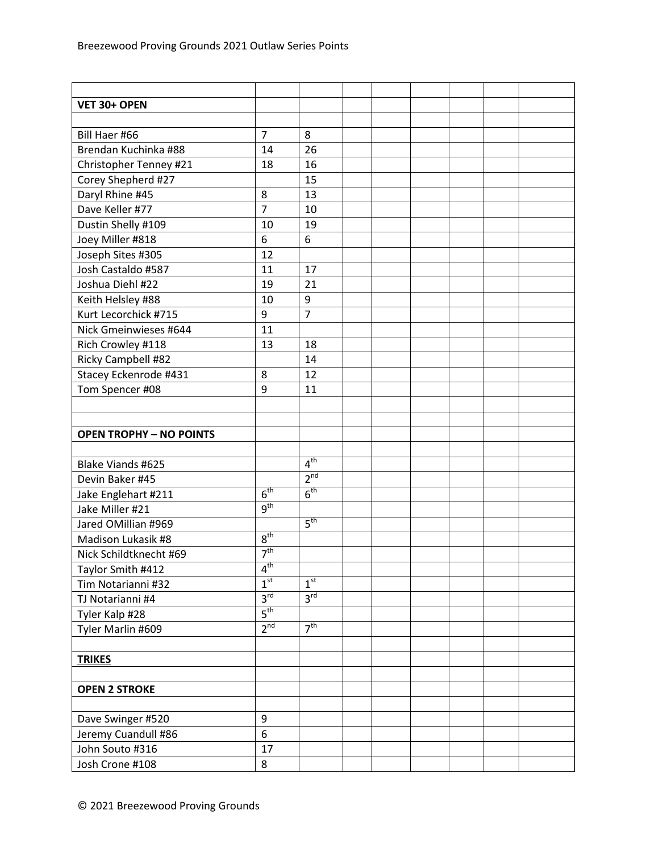| VET 30+ OPEN                   |                 |                 |  |  |  |
|--------------------------------|-----------------|-----------------|--|--|--|
|                                |                 |                 |  |  |  |
| Bill Haer #66                  | $\overline{7}$  | 8               |  |  |  |
| Brendan Kuchinka #88           | 14              | 26              |  |  |  |
| Christopher Tenney #21         | 18              | 16              |  |  |  |
| Corey Shepherd #27             |                 | 15              |  |  |  |
| Daryl Rhine #45                | 8               | 13              |  |  |  |
| Dave Keller #77                | $\overline{7}$  | 10              |  |  |  |
| Dustin Shelly #109             | 10              | 19              |  |  |  |
| Joey Miller #818               | 6               | 6               |  |  |  |
| Joseph Sites #305              | 12              |                 |  |  |  |
| Josh Castaldo #587             | 11              | 17              |  |  |  |
| Joshua Diehl #22               | 19              | 21              |  |  |  |
| Keith Helsley #88              | 10              | 9               |  |  |  |
| Kurt Lecorchick #715           | 9               | $\overline{7}$  |  |  |  |
| Nick Gmeinwieses #644          | 11              |                 |  |  |  |
| Rich Crowley #118              | 13              | 18              |  |  |  |
| Ricky Campbell #82             |                 | 14              |  |  |  |
| Stacey Eckenrode #431          | 8               | 12              |  |  |  |
| Tom Spencer #08                | 9               | 11              |  |  |  |
|                                |                 |                 |  |  |  |
|                                |                 |                 |  |  |  |
| <b>OPEN TROPHY - NO POINTS</b> |                 |                 |  |  |  |
|                                |                 |                 |  |  |  |
| <b>Blake Viands #625</b>       |                 | 4 <sup>th</sup> |  |  |  |
| Devin Baker #45                |                 | 2 <sup>nd</sup> |  |  |  |
| Jake Englehart #211            | 6 <sup>th</sup> | 6 <sup>th</sup> |  |  |  |
| Jake Miller #21                | 9 <sup>th</sup> |                 |  |  |  |
| Jared OMillian #969            |                 | 5 <sup>th</sup> |  |  |  |
| Madison Lukasik #8             | 8 <sup>th</sup> |                 |  |  |  |
| Nick Schildtknecht #69         | 7 <sup>th</sup> |                 |  |  |  |
| Taylor Smith #412              | $4^{\text{th}}$ |                 |  |  |  |
| Tim Notarianni #32             | 1 <sup>st</sup> | 1 <sup>st</sup> |  |  |  |
| TJ Notarianni #4               | 3 <sup>rd</sup> | $3^{\text{rd}}$ |  |  |  |
| Tyler Kalp #28                 | 5 <sup>th</sup> |                 |  |  |  |
| Tyler Marlin #609              | 2 <sup>nd</sup> | 7 <sup>th</sup> |  |  |  |
|                                |                 |                 |  |  |  |
| <b>TRIKES</b>                  |                 |                 |  |  |  |
|                                |                 |                 |  |  |  |
| <b>OPEN 2 STROKE</b>           |                 |                 |  |  |  |
|                                |                 |                 |  |  |  |
| Dave Swinger #520              | 9               |                 |  |  |  |
| Jeremy Cuandull #86            | 6               |                 |  |  |  |
| John Souto #316                | 17              |                 |  |  |  |
| Josh Crone #108                | 8               |                 |  |  |  |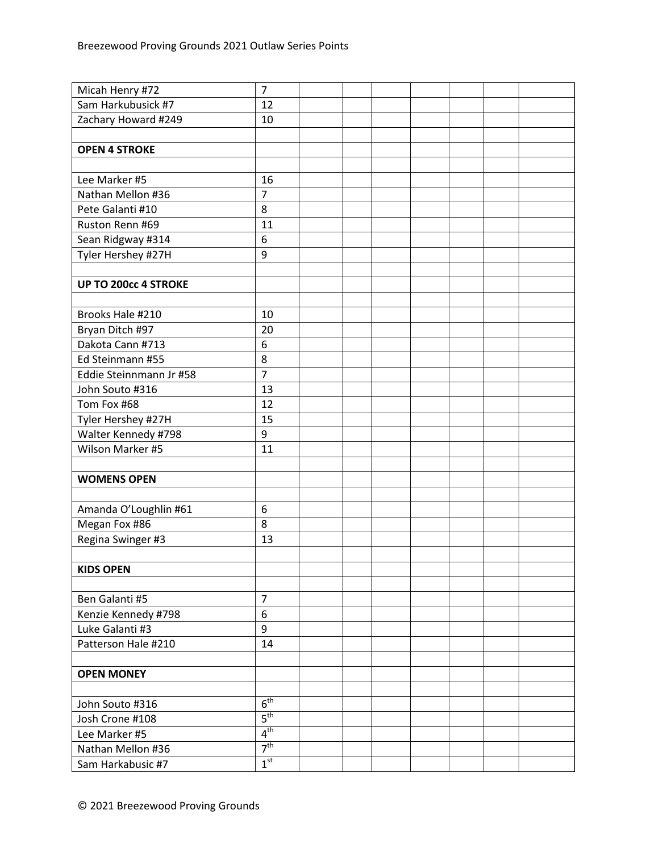| Micah Henry #72         | $\overline{7}$   |  |  |  |  |
|-------------------------|------------------|--|--|--|--|
| Sam Harkubusick #7      | 12               |  |  |  |  |
| Zachary Howard #249     | 10               |  |  |  |  |
|                         |                  |  |  |  |  |
| <b>OPEN 4 STROKE</b>    |                  |  |  |  |  |
|                         |                  |  |  |  |  |
| Lee Marker #5           | 16               |  |  |  |  |
| Nathan Mellon #36       | $\overline{7}$   |  |  |  |  |
| Pete Galanti #10        | 8                |  |  |  |  |
| Ruston Renn #69         | 11               |  |  |  |  |
| Sean Ridgway #314       | 6                |  |  |  |  |
| Tyler Hershey #27H      | 9                |  |  |  |  |
|                         |                  |  |  |  |  |
| UP TO 200cc 4 STROKE    |                  |  |  |  |  |
|                         |                  |  |  |  |  |
| Brooks Hale #210        | 10               |  |  |  |  |
| Bryan Ditch #97         | 20               |  |  |  |  |
| Dakota Cann #713        | 6                |  |  |  |  |
| Ed Steinmann #55        | 8                |  |  |  |  |
| Eddie Steinnmann Jr #58 | $\overline{7}$   |  |  |  |  |
| John Souto #316         | 13               |  |  |  |  |
| Tom Fox #68             | 12               |  |  |  |  |
| Tyler Hershey #27H      | 15               |  |  |  |  |
| Walter Kennedy #798     | 9                |  |  |  |  |
| Wilson Marker #5        | 11               |  |  |  |  |
|                         |                  |  |  |  |  |
| <b>WOMENS OPEN</b>      |                  |  |  |  |  |
|                         |                  |  |  |  |  |
| Amanda O'Loughlin #61   | 6                |  |  |  |  |
| Megan Fox #86           | 8                |  |  |  |  |
| Regina Swinger #3       | 13               |  |  |  |  |
|                         |                  |  |  |  |  |
| <b>KIDS OPEN</b>        |                  |  |  |  |  |
|                         |                  |  |  |  |  |
| Ben Galanti #5          | $\overline{7}$   |  |  |  |  |
| Kenzie Kennedy #798     | $\boldsymbol{6}$ |  |  |  |  |
| Luke Galanti #3         | 9                |  |  |  |  |
| Patterson Hale #210     | 14               |  |  |  |  |
|                         |                  |  |  |  |  |
| <b>OPEN MONEY</b>       |                  |  |  |  |  |
|                         |                  |  |  |  |  |
| John Souto #316         | 6 <sup>th</sup>  |  |  |  |  |
| Josh Crone #108         | $5^{\text{th}}$  |  |  |  |  |
| Lee Marker #5           | 4 <sup>th</sup>  |  |  |  |  |
| Nathan Mellon #36       | 7 <sup>th</sup>  |  |  |  |  |
| Sam Harkabusic #7       | 1 <sup>st</sup>  |  |  |  |  |